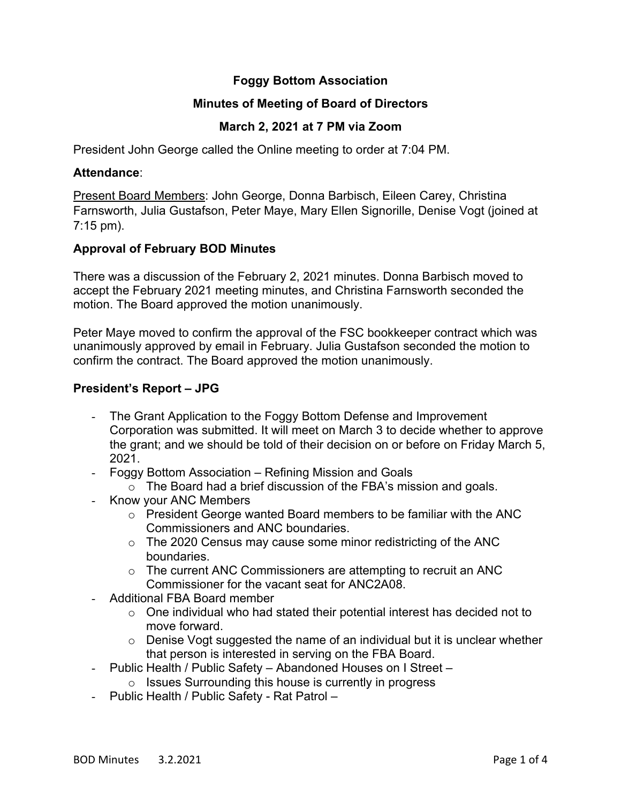# **Foggy Bottom Association**

## **Minutes of Meeting of Board of Directors**

# **March 2, 2021 at 7 PM via Zoom**

President John George called the Online meeting to order at 7:04 PM.

#### **Attendance**:

Present Board Members: John George, Donna Barbisch, Eileen Carey, Christina Farnsworth, Julia Gustafson, Peter Maye, Mary Ellen Signorille, Denise Vogt (joined at 7:15 pm).

### **Approval of February BOD Minutes**

There was a discussion of the February 2, 2021 minutes. Donna Barbisch moved to accept the February 2021 meeting minutes, and Christina Farnsworth seconded the motion. The Board approved the motion unanimously.

Peter Maye moved to confirm the approval of the FSC bookkeeper contract which was unanimously approved by email in February. Julia Gustafson seconded the motion to confirm the contract. The Board approved the motion unanimously.

### **President's Report – JPG**

- The Grant Application to the Foggy Bottom Defense and Improvement Corporation was submitted. It will meet on March 3 to decide whether to approve the grant; and we should be told of their decision on or before on Friday March 5, 2021.
- Foggy Bottom Association Refining Mission and Goals
	- o The Board had a brief discussion of the FBA's mission and goals.
- Know your ANC Members
	- o President George wanted Board members to be familiar with the ANC Commissioners and ANC boundaries.
	- o The 2020 Census may cause some minor redistricting of the ANC boundaries.
	- o The current ANC Commissioners are attempting to recruit an ANC Commissioner for the vacant seat for ANC2A08.
- Additional FBA Board member
	- o One individual who had stated their potential interest has decided not to move forward.
	- o Denise Vogt suggested the name of an individual but it is unclear whether that person is interested in serving on the FBA Board.
- Public Health / Public Safety Abandoned Houses on I Street –
- o Issues Surrounding this house is currently in progress
- Public Health / Public Safety Rat Patrol –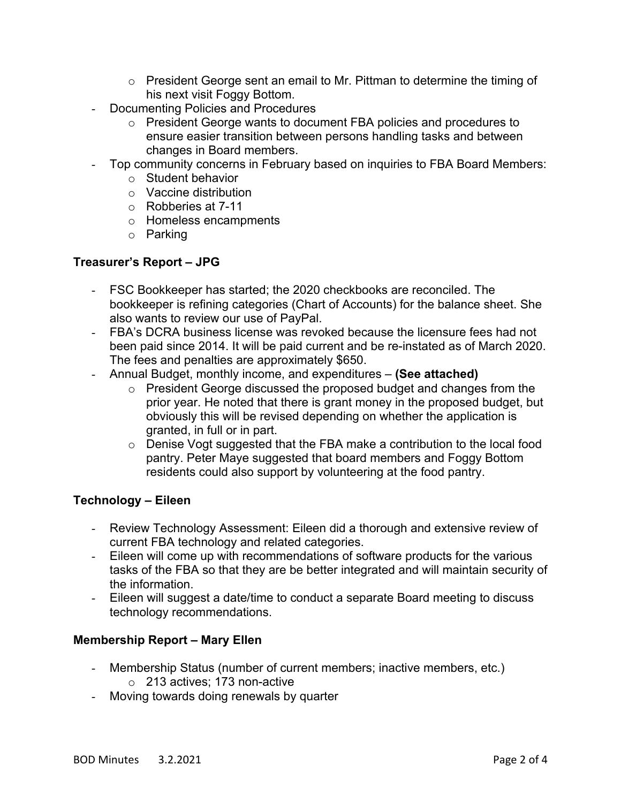- $\circ$  President George sent an email to Mr. Pittman to determine the timing of his next visit Foggy Bottom.
- Documenting Policies and Procedures
	- o President George wants to document FBA policies and procedures to ensure easier transition between persons handling tasks and between changes in Board members.
- Top community concerns in February based on inquiries to FBA Board Members:
	- o Student behavior
	- o Vaccine distribution
	- o Robberies at 7-11
	- o Homeless encampments
	- o Parking

### **Treasurer's Report – JPG**

- FSC Bookkeeper has started; the 2020 checkbooks are reconciled. The bookkeeper is refining categories (Chart of Accounts) for the balance sheet. She also wants to review our use of PayPal.
- FBA's DCRA business license was revoked because the licensure fees had not been paid since 2014. It will be paid current and be re-instated as of March 2020. The fees and penalties are approximately \$650.
- Annual Budget, monthly income, and expenditures **(See attached)**
	- o President George discussed the proposed budget and changes from the prior year. He noted that there is grant money in the proposed budget, but obviously this will be revised depending on whether the application is granted, in full or in part.
	- $\circ$  Denise Vogt suggested that the FBA make a contribution to the local food pantry. Peter Maye suggested that board members and Foggy Bottom residents could also support by volunteering at the food pantry.

#### **Technology – Eileen**

- Review Technology Assessment: Eileen did a thorough and extensive review of current FBA technology and related categories.
- Eileen will come up with recommendations of software products for the various tasks of the FBA so that they are be better integrated and will maintain security of the information.
- Eileen will suggest a date/time to conduct a separate Board meeting to discuss technology recommendations.

### **Membership Report – Mary Ellen**

- Membership Status (number of current members; inactive members, etc.) o 213 actives; 173 non-active
- Moving towards doing renewals by quarter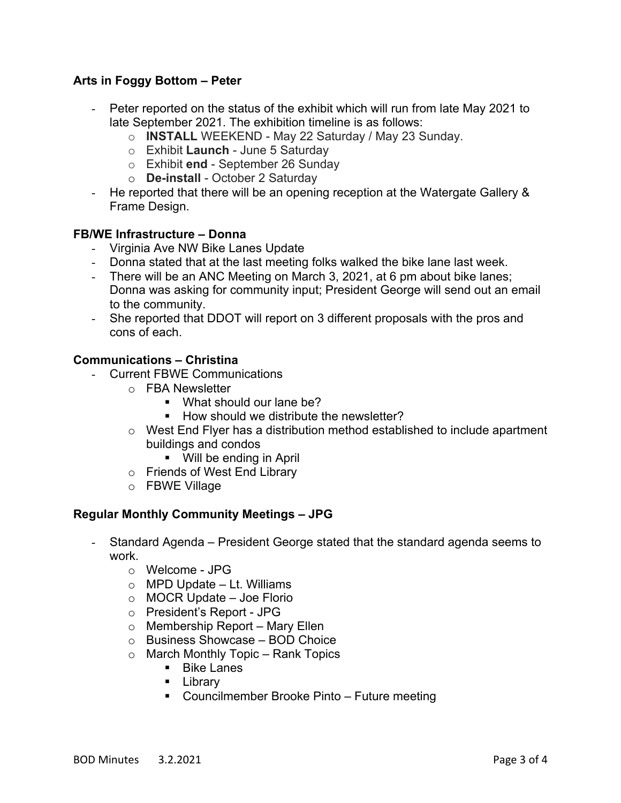# **Arts in Foggy Bottom – Peter**

- Peter reported on the status of the exhibit which will run from late May 2021 to late September 2021. The exhibition timeline is as follows:
	- o **INSTALL** WEEKEND May 22 Saturday / May 23 Sunday.
	- o Exhibit **Launch** June 5 Saturday
	- o Exhibit **end** September 26 Sunday
	- o **De-install** October 2 Saturday
- He reported that there will be an opening reception at the Watergate Gallery & Frame Design.

### **FB/WE Infrastructure – Donna**

- Virginia Ave NW Bike Lanes Update
- Donna stated that at the last meeting folks walked the bike lane last week.
- There will be an ANC Meeting on March 3, 2021, at 6 pm about bike lanes; Donna was asking for community input; President George will send out an email to the community.
- She reported that DDOT will report on 3 different proposals with the pros and cons of each.

### **Communications – Christina**

- Current FBWE Communications
	- o FBA Newsletter
		- What should our lane be?
		- § How should we distribute the newsletter?
	- o West End Flyer has a distribution method established to include apartment buildings and condos
		- Will be ending in April
	- o Friends of West End Library
	- o FBWE Village

### **Regular Monthly Community Meetings – JPG**

- Standard Agenda President George stated that the standard agenda seems to work.
	- o Welcome JPG
	- $\circ$  MPD Update Lt. Williams
	- o MOCR Update Joe Florio
	- o President's Report JPG
	- o Membership Report Mary Ellen
	- o Business Showcase BOD Choice
	- $\circ$  March Monthly Topic Rank Topics
		- Bike Lanes
		- § Library
		- Councilmember Brooke Pinto Future meeting